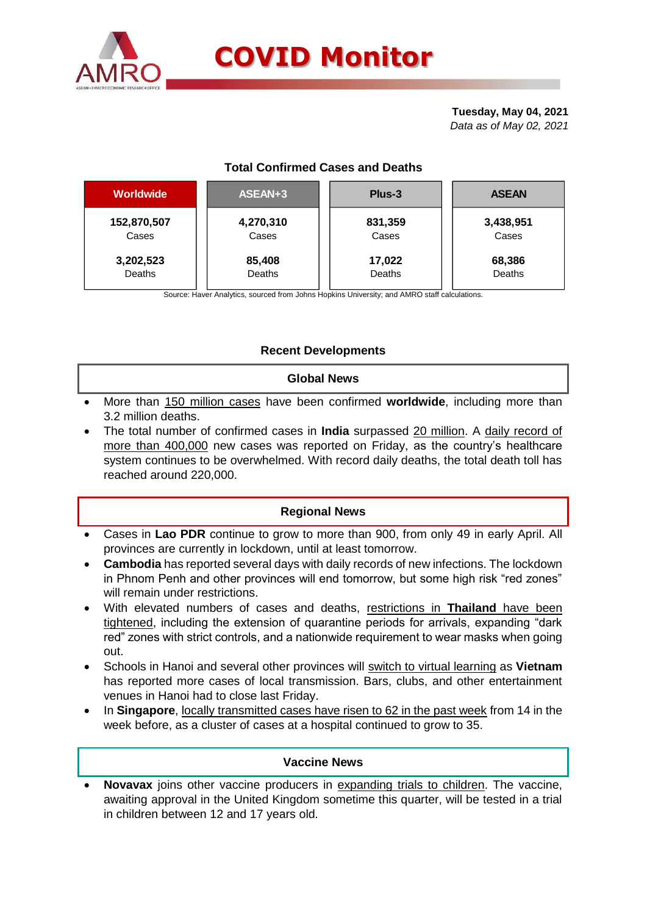

# **COVID Monitor**

**Tuesday, May 04, 2021** *Data as of May 02, 2021*

# **Total Confirmed Cases and Deaths**

| <b>Worldwide</b> | ASEAN+3   | Plus-3  | <b>ASEAN</b> |  |  |
|------------------|-----------|---------|--------------|--|--|
| 152,870,507      | 4,270,310 | 831,359 | 3,438,951    |  |  |
| Cases            | Cases     | Cases   | Cases        |  |  |
| 3,202,523        | 85,408    | 17,022  | 68,386       |  |  |
| Deaths           | Deaths    | Deaths  | Deaths       |  |  |

Source: Haver Analytics, sourced from Johns Hopkins University; and AMRO staff calculations.

## **Recent Developments**

#### **Global News**

- More than 150 million cases have been confirmed **worldwide**, including more than 3.2 million deaths.
- The total number of confirmed cases in **India** surpassed 20 million. A daily record of more than 400,000 new cases was reported on Friday, as the country's healthcare system continues to be overwhelmed. With record daily deaths, the total death toll has reached around 220,000.

#### **Regional News**

- Cases in **Lao PDR** continue to grow to more than 900, from only 49 in early April. All provinces are currently in lockdown, until at least tomorrow.
- **Cambodia** has reported several days with daily records of new infections. The lockdown in Phnom Penh and other provinces will end tomorrow, but some high risk "red zones" will remain under restrictions.
- With elevated numbers of cases and deaths, restrictions in **Thailand** have been tightened, including the extension of quarantine periods for arrivals, expanding "dark red" zones with strict controls, and a nationwide requirement to wear masks when going out.
- Schools in Hanoi and several other provinces will switch to virtual learning as **Vietnam** has reported more cases of local transmission. Bars, clubs, and other entertainment venues in Hanoi had to close last Friday.
- In **Singapore**, locally transmitted cases have risen to 62 in the past week from 14 in the week before, as a cluster of cases at a hospital continued to grow to 35.

#### **Vaccine News**

 **Novavax** joins other vaccine producers in expanding trials to children. The vaccine, awaiting approval in the United Kingdom sometime this quarter, will be tested in a trial in children between 12 and 17 years old.